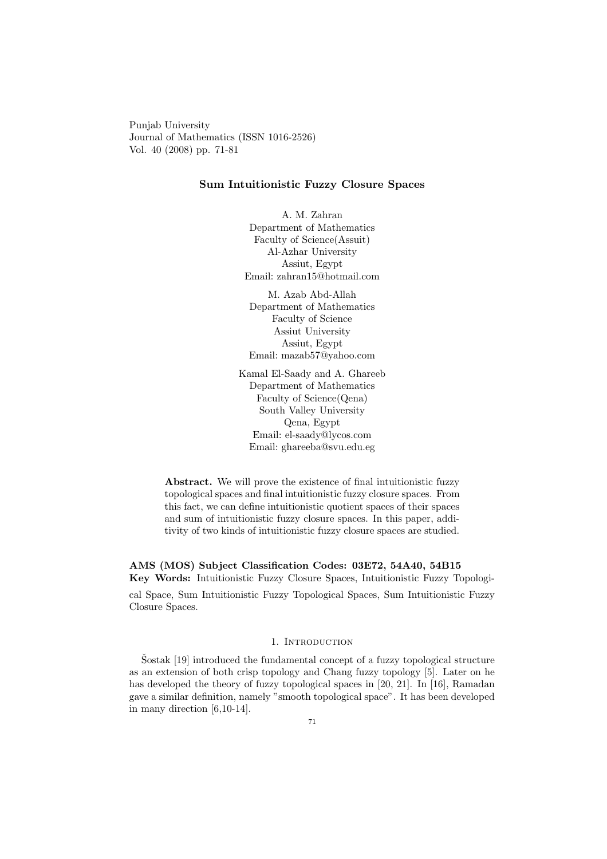Punjab University Journal of Mathematics (ISSN 1016-2526) Vol. 40 (2008) pp. 71-81

## Sum Intuitionistic Fuzzy Closure Spaces

A. M. Zahran Department of Mathematics Faculty of Science(Assuit) Al-Azhar University Assiut, Egypt Email: zahran15@hotmail.com

M. Azab Abd-Allah Department of Mathematics Faculty of Science Assiut University Assiut, Egypt Email: mazab57@yahoo.com

Kamal El-Saady and A. Ghareeb Department of Mathematics Faculty of Science(Qena) South Valley University Qena, Egypt Email: el-saady@lycos.com Email: ghareeba@svu.edu.eg

Abstract. We will prove the existence of final intuitionistic fuzzy topological spaces and final intuitionistic fuzzy closure spaces. From this fact, we can define intuitionistic quotient spaces of their spaces and sum of intuitionistic fuzzy closure spaces. In this paper, additivity of two kinds of intuitionistic fuzzy closure spaces are studied.

AMS (MOS) Subject Classification Codes: 03E72, 54A40, 54B15 Key Words: Intuitionistic Fuzzy Closure Spaces, Intuitionistic Fuzzy Topologi-

cal Space, Sum Intuitionistic Fuzzy Topological Spaces, Sum Intuitionistic Fuzzy Closure Spaces.

# 1. INTRODUCTION

 $\text{Sostak}$  [19] introduced the fundamental concept of a fuzzy topological structure as an extension of both crisp topology and Chang fuzzy topology [5]. Later on he has developed the theory of fuzzy topological spaces in [20, 21]. In [16], Ramadan gave a similar definition, namely "smooth topological space". It has been developed in many direction [6,10-14].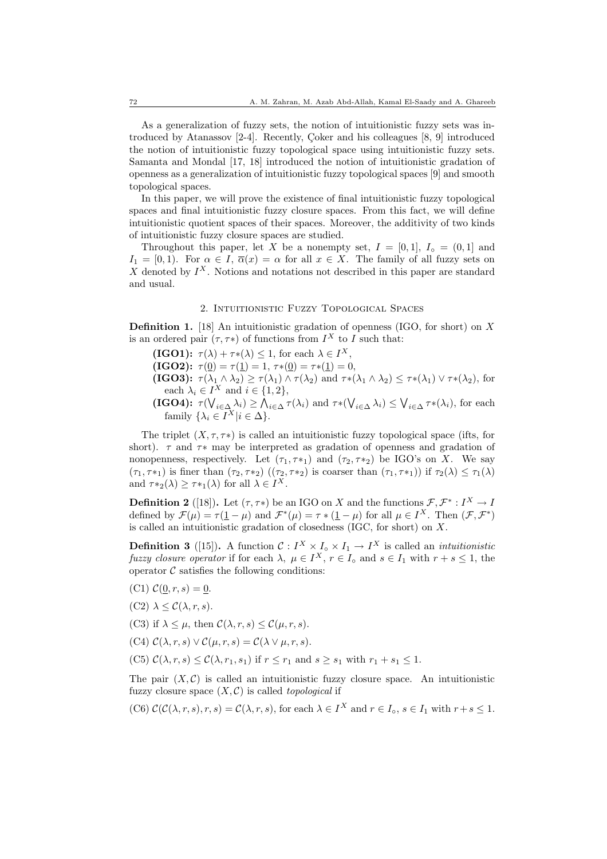As a generalization of fuzzy sets, the notion of intuitionistic fuzzy sets was introduced by Atanassov  $[2-4]$ . Recently, Coker and his colleagues  $[8, 9]$  introduced the notion of intuitionistic fuzzy topological space using intuitionistic fuzzy sets. Samanta and Mondal [17, 18] introduced the notion of intuitionistic gradation of openness as a generalization of intuitionistic fuzzy topological spaces [9] and smooth topological spaces.

In this paper, we will prove the existence of final intuitionistic fuzzy topological spaces and final intuitionistic fuzzy closure spaces. From this fact, we will define intuitionistic quotient spaces of their spaces. Moreover, the additivity of two kinds of intuitionistic fuzzy closure spaces are studied.

Throughout this paper, let X be a nonempty set,  $I = [0, 1], I_0 = (0, 1]$  and  $I_1 = [0, 1)$ . For  $\alpha \in I$ ,  $\overline{\alpha}(x) = \alpha$  for all  $x \in X$ . The family of all fuzzy sets on X denoted by  $I^X$ . Notions and notations not described in this paper are standard and usual.

### 2. Intuitionistic Fuzzy Topological Spaces

**Definition 1.** [18] An intuitionistic gradation of openness (IGO, for short) on X is an ordered pair  $(\tau, \tau^*)$  of functions from  $I^X$  to I such that:

- **(IGO1):**  $\tau(\lambda) + \tau*(\lambda) \leq 1$ , for each  $\lambda \in I^X$ ,
- (IGO2):  $\tau(\underline{0}) = \tau(\underline{1}) = 1, \tau *(\underline{0}) = \tau *(\underline{1}) = 0,$
- (IGO3):  $\tau(\lambda_1 \wedge \lambda_2) \geq \tau(\lambda_1) \wedge \tau(\lambda_2)$  and  $\tau * (\lambda_1 \wedge \lambda_2) \leq \tau * (\lambda_1) \vee \tau * (\lambda_2)$ , for each  $\lambda_i \in I^X$  and  $i \in \{1, 2\},\$
- $(\text{IGO4})$ :  $\tau(\bigvee_{i \in \Delta} \lambda_i) \geq \bigwedge_{i \in \Delta} \tau(\lambda_i)$  and  $\tau * (\bigvee_{i \in \Delta} \lambda_i) \leq \bigvee_{i \in \Delta} \tau * (\lambda_i)$ , for each family  $\{\lambda_i \in I^X | i \in \Delta\}.$

The triplet  $(X, \tau, \tau^*)$  is called an intuitionistic fuzzy topological space (ifts, for short).  $\tau$  and  $\tau$  may be interpreted as gradation of openness and gradation of nonopenness, respectively. Let  $(\tau_1, \tau_{1})$  and  $(\tau_2, \tau_{2})$  be IGO's on X. We say  $(\tau_1, \tau_{1})$  is finer than  $(\tau_2, \tau_{2})$   $((\tau_2, \tau_{2})$  is coarser than  $(\tau_1, \tau_{1})$  if  $\tau_2(\lambda) \leq \tau_1(\lambda)$ and  $\tau*_2(\lambda) \geq \tau*_1(\lambda)$  for all  $\lambda \in I^X$ .

**Definition 2** ([18]). Let  $(\tau, \tau^*)$  be an IGO on X and the functions  $\mathcal{F}, \mathcal{F}^* : I^X \to I$ defined by  $\mathcal{F}(\mu) = \tau(\underline{1} - \mu)$  and  $\mathcal{F}^*(\mu) = \tau * (\underline{1} - \mu)$  for all  $\mu \in I^X$ . Then  $(\mathcal{F}, \mathcal{F}^*)$ is called an intuitionistic gradation of closedness (IGC, for short) on X.

**Definition 3** ([15]). A function  $C: I^X \times I_{\text{o}} \times I_1 \to I^X$  is called an *intuitionistic* fuzzy closure operator if for each  $\lambda, \mu \in I^X$ ,  $r \in I_{\text{o}}$  and  $s \in I_1$  with  $r + s \leq 1$ , the operator  $\mathcal C$  satisfies the following conditions:

- (C1)  $C(0, r, s) = 0$ .
- $(C2)$   $\lambda \leq \mathcal{C}(\lambda, r, s)$ .
- (C3) if  $\lambda \leq \mu$ , then  $\mathcal{C}(\lambda, r, s) \leq \mathcal{C}(\mu, r, s)$ .
- (C4)  $C(\lambda, r, s) \vee C(\mu, r, s) = C(\lambda \vee \mu, r, s).$
- (C5)  $\mathcal{C}(\lambda, r, s) \leq \mathcal{C}(\lambda, r_1, s_1)$  if  $r \leq r_1$  and  $s \geq s_1$  with  $r_1 + s_1 \leq 1$ .

The pair  $(X, \mathcal{C})$  is called an intuitionistic fuzzy closure space. An intuitionistic fuzzy closure space  $(X, \mathcal{C})$  is called *topological* if

(C6) 
$$
\mathcal{C}(\mathcal{C}(\lambda, r, s), r, s) = \mathcal{C}(\lambda, r, s)
$$
, for each  $\lambda \in I^X$  and  $r \in I_0, s \in I_1$  with  $r + s \leq 1$ .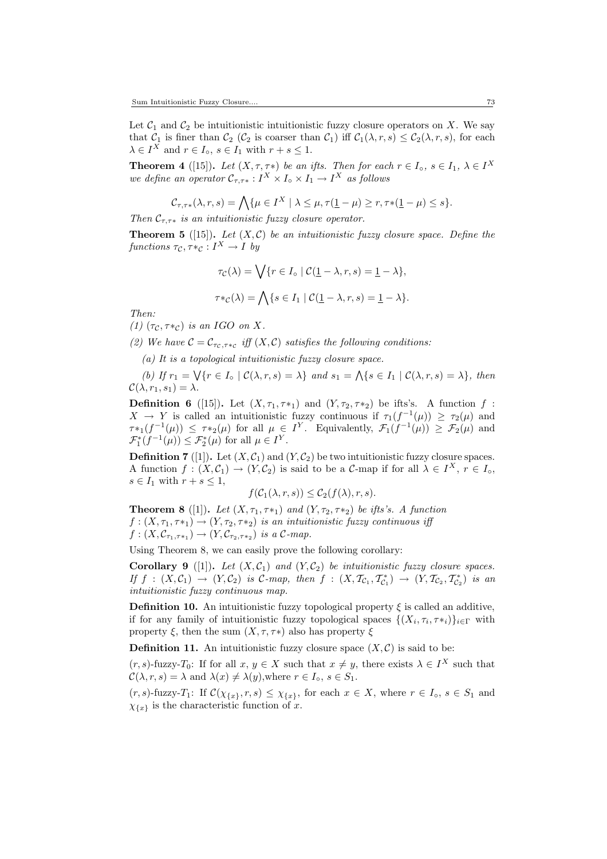Let  $C_1$  and  $C_2$  be intuitionistic intuitionistic fuzzy closure operators on X. We say that  $C_1$  is finer than  $C_2$  ( $C_2$  is coarser than  $C_1$ ) iff  $C_1(\lambda, r, s) \le C_2(\lambda, r, s)$ , for each  $\lambda \in I^X$  and  $r \in I_0$ ,  $s \in I_1$  with  $r + s \leq 1$ .

**Theorem 4** ([15]). Let  $(X, \tau, \tau^*)$  be an ifts. Then for each  $r \in I_o$ ,  $s \in I_1$ ,  $\lambda \in I^X$ we define an operator  $\mathcal{C}_{\tau,\tau*}: I^X \times I_{\circ} \times I_1 \to I^X$  as follows

$$
\mathcal{C}_{\tau,\tau*}(\lambda,r,s) = \bigwedge \{\mu \in I^X \mid \lambda \leq \mu, \tau(\underline{1}-\mu) \geq r, \tau*(\underline{1}-\mu) \leq s\}.
$$

Then  $\mathcal{C}_{\tau,\tau\ast}$  is an intuitionistic fuzzy closure operator.

**Theorem 5** ([15]). Let  $(X, \mathcal{C})$  be an intuitionistic fuzzy closure space. Define the functions  $\tau_{\mathcal{C}}, \tau_{\mathcal{C}} : I^X \to I$  by

$$
\tau_{\mathcal{C}}(\lambda) = \bigvee \{r \in I_o \mid \mathcal{C}(\underline{1} - \lambda, r, s) = \underline{1} - \lambda\},\
$$

$$
\tau *_{\mathcal{C}}(\lambda) = \bigwedge \{s \in I_1 \mid \mathcal{C}(\underline{1} - \lambda, r, s) = \underline{1} - \lambda\}.
$$

Then:

(1)  $(\tau_{\mathcal{C}}, \tau *_{\mathcal{C}})$  is an IGO on X.

(2) We have  $C = C_{\tau_c, \tau *_{\mathcal{C}}}$  iff  $(X, \mathcal{C})$  satisfies the following conditions:

(a) It is a topological intuitionistic fuzzy closure space.

(b) If  $r_1 = \bigvee \{r \in I \circ \mid C(\lambda, r, s) = \lambda\}$  and  $s_1 = \bigwedge \{s \in I_1 \mid C(\lambda, r, s) = \lambda\},\$  then  $\mathcal{C}(\lambda, r_1, s_1) = \lambda.$ 

**Definition 6** ([15]). Let  $(X, \tau_1, \tau_{*1})$  and  $(Y, \tau_2, \tau_{*2})$  be ifts's. A function  $f$ :  $X \to Y$  is called an intuitionistic fuzzy continuous if  $\tau_1(f^{-1}(\mu)) \geq \tau_2(\mu)$  and  $\tau_{*1}(f^{-1}(\mu)) \leq \tau_{*2}(\mu)$  for all  $\mu \in I^Y$ . Equivalently,  $\mathcal{F}_1(f^{-1}(\mu)) \geq \mathcal{F}_2(\mu)$  and  $\mathcal{F}_{1}^{*}(f^{-1}(\mu)) \leq \mathcal{F}_{2}^{*}(\mu)$  for all  $\mu \in I^{Y}$ .

**Definition 7** ([1]). Let  $(X, C_1)$  and  $(Y, C_2)$  be two intuitionistic fuzzy closure spaces. A function  $f: (X, C_1) \to (Y, C_2)$  is said to be a C-map if for all  $\lambda \in I^X$ ,  $r \in I_0$ ,  $s \in I_1$  with  $r + s \leq 1$ ,

$$
f(\mathcal{C}_1(\lambda,r,s)) \leq \mathcal{C}_2(f(\lambda),r,s).
$$

**Theorem 8** ([1]). Let  $(X, \tau_1, \tau_{*1})$  and  $(Y, \tau_2, \tau_{*2})$  be ifts's. A function  $f:(X, \tau_1, \tau_{*1}) \rightarrow (Y, \tau_2, \tau_{*2})$  is an intuitionistic fuzzy continuous iff  $f:(X,\mathcal{C}_{\tau_1,\tau_{*1}})\to(Y,\mathcal{C}_{\tau_2,\tau_{*2}})$  is a  $\mathcal{C}\text{-}map.$ 

Using Theorem 8, we can easily prove the following corollary:

**Corollary 9** ([1]). Let  $(X, \mathcal{C}_1)$  and  $(Y, \mathcal{C}_2)$  be intuitionistic fuzzy closure spaces. If  $f : (X, \mathcal{C}_1) \to (Y, \mathcal{C}_2)$  is  $\mathcal{C}\text{-}map$ , then  $f : (X, \mathcal{T}_{\mathcal{C}_1}, \mathcal{T}_{\mathcal{C}_1}^*) \to (Y, \mathcal{T}_{\mathcal{C}_2}, \mathcal{T}_{\mathcal{C}_2}^*)$  is an intuitionistic fuzzy continuous map.

**Definition 10.** An intuitionistic fuzzy topological property  $\xi$  is called an additive, if for any family of intuitionistic fuzzy topological spaces  $\{(X_i, \tau_i, \tau_{i})\}_{i \in \Gamma}$  with property  $\xi$ , then the sum  $(X, \tau, \tau^*)$  also has property  $\xi$ 

**Definition 11.** An intuitionistic fuzzy closure space  $(X, \mathcal{C})$  is said to be:

 $(r, s)$ -fuzzy- $T_0$ : If for all  $x, y \in X$  such that  $x \neq y$ , there exists  $\lambda \in I^X$  such that  $\mathcal{C}(\lambda, r, s) = \lambda$  and  $\lambda(x) \neq \lambda(y)$ , where  $r \in I_{\circ}, s \in S_1$ .

 $(r, s)$ -fuzzy- $T_1$ : If  $\mathcal{C}(\chi_{\{x\}}, r, s) \leq \chi_{\{x\}}$ , for each  $x \in X$ , where  $r \in I_0$ ,  $s \in S_1$  and  $\chi_{\{x\}}$  is the characteristic function of x.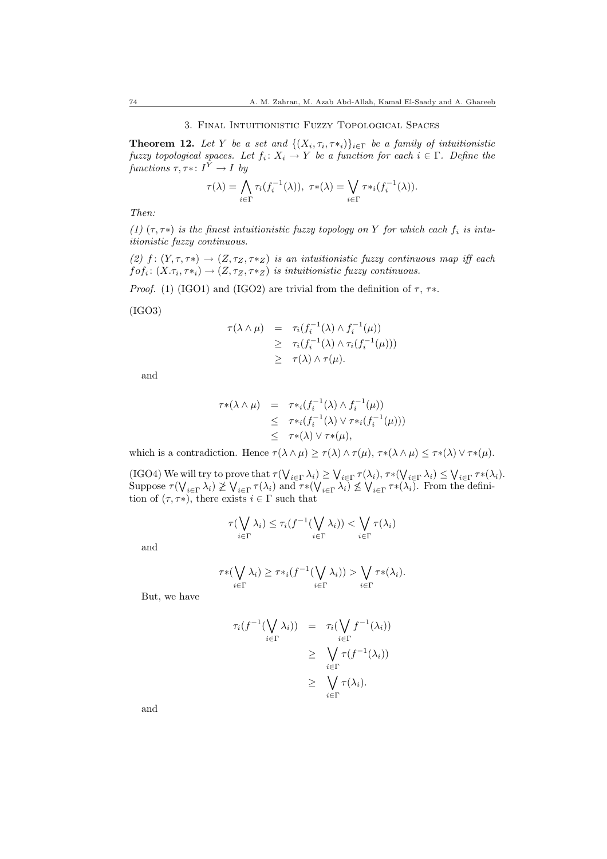#### 3. Final Intuitionistic Fuzzy Topological Spaces

**Theorem 12.** Let Y be a set and  $\{(X_i, \tau_i, \tau_{*i})\}_{i \in \Gamma}$  be a family of intuitionistic fuzzy topological spaces. Let  $f_i: X_i \to Y$  be a function for each  $i \in \Gamma$ . Define the functions  $\tau, \tau^*: I^Y \to I$  by

$$
\tau(\lambda) = \bigwedge_{i \in \Gamma} \tau_i(f_i^{-1}(\lambda)), \ \tau * (\lambda) = \bigvee_{i \in \Gamma} \tau *_{i}(f_i^{-1}(\lambda)).
$$

Then:

(1)  $(\tau, \tau^*)$  is the finest intuitionistic fuzzy topology on Y for which each  $f_i$  is intuitionistic fuzzy continuous.

(2)  $f: (Y, \tau, \tau^*) \to (Z, \tau_Z, \tau^*Z)$  is an intuitionistic fuzzy continuous map iff each  $f \circ f_i \colon (X.\tau_i, \tau *_i) \to (Z,\tau_Z, \tau *_Z)$  is intuitionistic fuzzy continuous.

*Proof.* (1) (IGO1) and (IGO2) are trivial from the definition of  $\tau$ ,  $\tau$ \*.

(IGO3)

$$
\tau(\lambda \wedge \mu) = \tau_i(f_i^{-1}(\lambda) \wedge f_i^{-1}(\mu))
$$
  
\n
$$
\geq \tau_i(f_i^{-1}(\lambda) \wedge \tau_i(f_i^{-1}(\mu)))
$$
  
\n
$$
\geq \tau(\lambda) \wedge \tau(\mu).
$$

and

$$
\tau * (\lambda \wedge \mu) = \tau *_{i} (f_{i}^{-1}(\lambda) \wedge f_{i}^{-1}(\mu))
$$
  
\n
$$
\leq \tau *_{i} (f_{i}^{-1}(\lambda) \vee \tau *_{i} (f_{i}^{-1}(\mu)))
$$
  
\n
$$
\leq \tau * (\lambda) \vee \tau * (\mu),
$$

which is a contradiction. Hence  $\tau(\lambda \wedge \mu) \geq \tau(\lambda) \wedge \tau(\mu)$ ,  $\tau^*(\lambda \wedge \mu) \leq \tau^*(\lambda) \vee \tau^*(\mu)$ .

(IGO4) We will try to prove that  $\tau(\bigvee_{i\in\Gamma}\lambda_i)\geq \bigvee_{i\in\Gamma}\tau(\lambda_i), \tau^*(\bigvee_{i\in\Gamma}\lambda_i)\leq \bigvee_{i\in\Gamma}\tau^*(\lambda_i).$ Suppose  $\tau(\bigvee_{i\in \Gamma} \lambda_i) \not\geq \bigvee_{i\in \Gamma} \tau(\lambda_i)$  and  $\tau * (\bigvee_{i\in \Gamma} \lambda_i) \not\leq \bigvee_{i\in \Gamma} \tau * (\lambda_i)$ . From the definition of  $(\tau, \tau^*)$ , there exists  $i \in \Gamma$  such that

$$
\tau(\bigvee_{i \in \Gamma} \lambda_i) \leq \tau_i(f^{-1}(\bigvee_{i \in \Gamma} \lambda_i)) < \bigvee_{i \in \Gamma} \tau(\lambda_i)
$$

and

$$
\tau * (\bigvee_{i \in \Gamma} \lambda_i) \geq \tau *_{i} (f^{-1}(\bigvee_{i \in \Gamma} \lambda_i)) > \bigvee_{i \in \Gamma} \tau * (\lambda_i).
$$

But, we have

$$
\tau_i(f^{-1}(\bigvee_{i\in\Gamma}\lambda_i)) = \tau_i(\bigvee_{i\in\Gamma}f^{-1}(\lambda_i))
$$
\n
$$
\geq \bigvee_{i\in\Gamma}\tau(f^{-1}(\lambda_i))
$$
\n
$$
\geq \bigvee_{i\in\Gamma}\tau(\lambda_i).
$$

and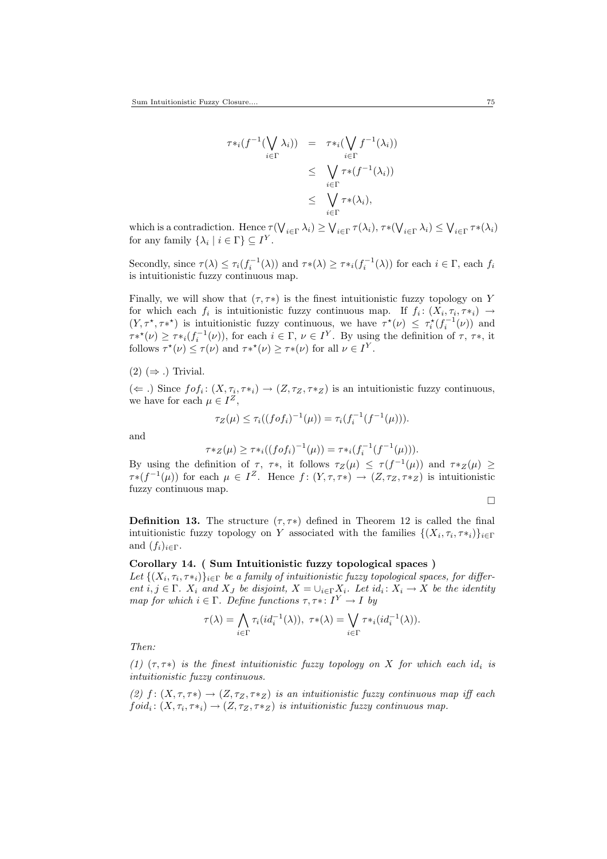$$
\tau *_{i}(f^{-1}(\bigvee_{i \in \Gamma} \lambda_{i})) = \tau *_{i}(\bigvee_{i \in \Gamma} f^{-1}(\lambda_{i}))
$$
\n
$$
\leq \bigvee_{i \in \Gamma} \tau * (f^{-1}(\lambda_{i}))
$$
\n
$$
\leq \bigvee_{i \in \Gamma} \tau * (\lambda_{i}),
$$

which is a contradiction. Hence  $\tau(\bigvee_{i\in\Gamma}\lambda_i)\geq \bigvee_{i\in\Gamma}\tau(\lambda_i), \tau^*(\bigvee_{i\in\Gamma}\lambda_i)\leq \bigvee_{i\in\Gamma}\tau^*(\lambda_i)$ for any family  $\{\lambda_i \mid i \in \Gamma\} \subseteq I^Y$ .

Secondly, since  $\tau(\lambda) \leq \tau_i(f_i^{-1}(\lambda))$  and  $\tau^*(\lambda) \geq \tau^*(f_i^{-1}(\lambda))$  for each  $i \in \Gamma$ , each  $f_i$ is intuitionistic fuzzy continuous map.

Finally, we will show that  $(\tau, \tau^*)$  is the finest intuitionistic fuzzy topology on Y for which each  $f_i$  is intuitionistic fuzzy continuous map. If  $f_i: (X_i, \tau_i, \tau *_i) \to$  $(Y, \tau^*, \tau^{*})$  is intuitionistic fuzzy continuous, we have  $\tau^*(\nu) \leq \tau_i^*(f_i^{-1}(\nu))$  and  $\tau^{*}(v) \geq \tau^{*}(f_i^{-1}(v)),$  for each  $i \in \Gamma, \nu \in I^Y$ . By using the definition of  $\tau, \tau^*$ , it follows  $\tau^*(\nu) \leq \tau(\nu)$  and  $\tau^{**}(\nu) \geq \tau^{*}(\nu)$  for all  $\nu \in I^Y$ .

### $(2)$  ( $\Rightarrow$  .) Trivial.

 $(\Leftarrow.)$  Since  $f \circ f_i : (X, \tau_i, \tau *_i) \to (Z, \tau_Z, \tau *_Z)$  is an intuitionistic fuzzy continuous, we have for each  $\mu \in I^Z$ ,

$$
\tau_Z(\mu) \le \tau_i((f \circ f_i)^{-1}(\mu)) = \tau_i(f_i^{-1}(f^{-1}(\mu))).
$$

and

$$
\tau *_{Z}(\mu) \geq \tau *_{i}((f \circ f_{i})^{-1}(\mu)) = \tau *_{i}(f_{i}^{-1}(f^{-1}(\mu))).
$$

By using the definition of  $\tau$ ,  $\tau$ \*, it follows  $\tau_Z(\mu) \leq \tau(f^{-1}(\mu))$  and  $\tau *_Z(\mu) \geq$  $\tau * (f^{-1}(\mu))$  for each  $\mu \in I^{\mathbb{Z}}$ . Hence  $f : (Y, \tau, \tau^*) \to (Z, \tau_Z, \tau^*Z)$  is intuitionistic fuzzy continuous map.

$$
\qquad \qquad \Box
$$

**Definition 13.** The structure  $(\tau, \tau^*)$  defined in Theorem 12 is called the final intuitionistic fuzzy topology on Y associated with the families  $\{(X_i, \tau_i, \tau_{i})\}_{i \in \Gamma}$ and  $(f_i)_{i \in \Gamma}$ .

# Corollary 14. ( Sum Intuitionistic fuzzy topological spaces )

Let  $\{(X_i, \tau_i, \tau *_i)\}_{i \in \Gamma}$  be a family of intuitionistic fuzzy topological spaces, for different  $i, j \in \Gamma$ .  $X_i$  and  $X_j$  be disjoint,  $X = \bigcup_{i \in \Gamma} X_i$ . Let  $id_i : X_i \to X$  be the identity map for which  $i \in \Gamma$ . Define functions  $\tau, \tau^*: I^Y \to I$  by

$$
\tau(\lambda) = \bigwedge_{i \in \Gamma} \tau_i(id_i^{-1}(\lambda)), \ \tau*(\lambda) = \bigvee_{i \in \Gamma} \tau *_{i}(id_i^{-1}(\lambda)).
$$

Then:

(1)  $(\tau, \tau^*)$  is the finest intuitionistic fuzzy topology on X for which each id<sub>i</sub> is intuitionistic fuzzy continuous.

(2)  $f: (X, \tau, \tau^*) \to (Z, \tau_Z, \tau^*Z)$  is an intuitionistic fuzzy continuous map iff each  $foid_i: (X, \tau_i, \tau *_i) \rightarrow (Z, \tau_Z, \tau *_Z)$  is intuitionistic fuzzy continuous map.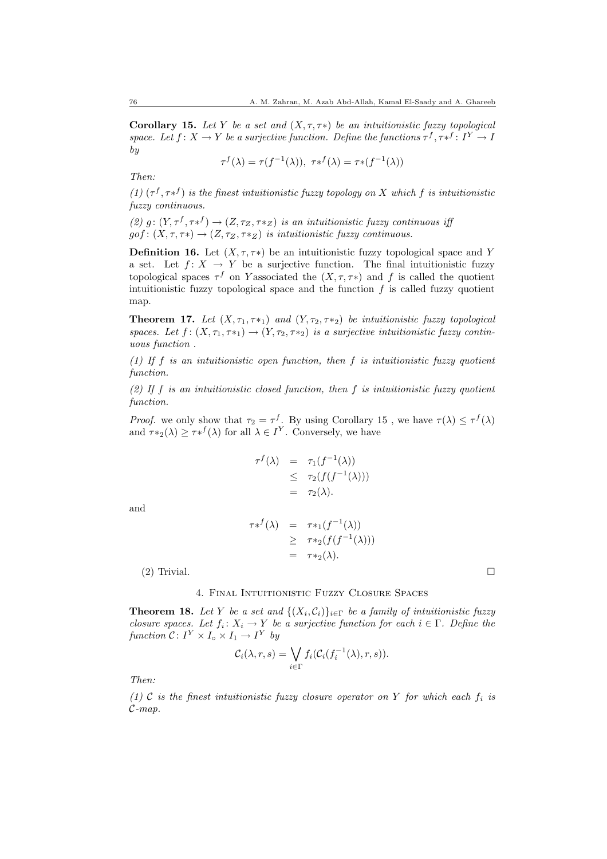Corollary 15. Let Y be a set and  $(X, \tau, \tau^*)$  be an intuitionistic fuzzy topological space. Let  $f: X \to Y$  be a surjective function. Define the functions  $\tau^f, \tau^{*f}: I^Y \to I$ by

$$
\tau^f(\lambda) = \tau(f^{-1}(\lambda)), \ \tau^{f}(\lambda) = \tau^{f^{-1}(\lambda)}
$$

Then:

(1)  $(\tau^f, \tau^{f})$  is the finest intuitionistic fuzzy topology on X which f is intuitionistic fuzzy continuous.

(2)  $g: (Y, \tau^f, \tau^{f}) \to (Z, \tau_Z, \tau^{f}z)$  is an intuitionistic fuzzy continuous iff  $gof: (X, \tau, \tau^*) \to (Z, \tau_Z, \tau^*Z)$  is intuitionistic fuzzy continuous.

**Definition 16.** Let  $(X, \tau, \tau^*)$  be an intuitionistic fuzzy topological space and Y a set. Let  $f: X \to Y$  be a surjective function. The final intuitionistic fuzzy topological spaces  $\tau^f$  on Y associated the  $(X, \tau, \tau^*)$  and f is called the quotient intuitionistic fuzzy topological space and the function  $f$  is called fuzzy quotient map.

**Theorem 17.** Let  $(X, \tau_1, \tau_2)$  and  $(Y, \tau_2, \tau_2)$  be intuitionistic fuzzy topological spaces. Let  $f: (X, \tau_1, \tau_{*1}) \to (Y, \tau_2, \tau_{*2})$  is a surjective intuitionistic fuzzy continuous function .

(1) If f is an intuitionistic open function, then f is intuitionistic fuzzy quotient function.

(2) If f is an intuitionistic closed function, then f is intuitionistic fuzzy quotient function.

*Proof.* we only show that  $\tau_2 = \tau^f$ . By using Corollary 15, we have  $\tau(\lambda) \leq \tau^f(\lambda)$ and  $\tau*_2(\lambda) \geq \tau_*^f(\lambda)$  for all  $\lambda \in I^Y$ . Conversely, we have

τ

$$
\begin{array}{rcl}\nf(\lambda) & = & \tau_1(f^{-1}(\lambda)) \\
& \leq & \tau_2(f(f^{-1}(\lambda))) \\
& = & \tau_2(\lambda).\n\end{array}
$$

and

$$
\tau *^f(\lambda) = \tau *_{1}(f^{-1}(\lambda))
$$
  
\n
$$
\geq \tau *_{2}(f(f^{-1}(\lambda)))
$$
  
\n
$$
= \tau *_{2}(\lambda).
$$

 $(2)$  Trivial.

### 4. Final Intuitionistic Fuzzy Closure Spaces

**Theorem 18.** Let Y be a set and  $\{(X_i, \mathcal{C}_i)\}_{i \in \Gamma}$  be a family of intuitionistic fuzzy closure spaces. Let  $f_i: X_i \to Y$  be a surjective function for each  $i \in \Gamma$ . Define the function  $C: I^Y \times I_{\circ} \times I_1 \to I^Y$  by

$$
C_i(\lambda, r, s) = \bigvee_{i \in \Gamma} f_i(C_i(f_i^{-1}(\lambda), r, s)).
$$

Then:

(1) C is the finest intuitionistic fuzzy closure operator on Y for which each  $f_i$  is  $\mathcal{C}\text{-}map.$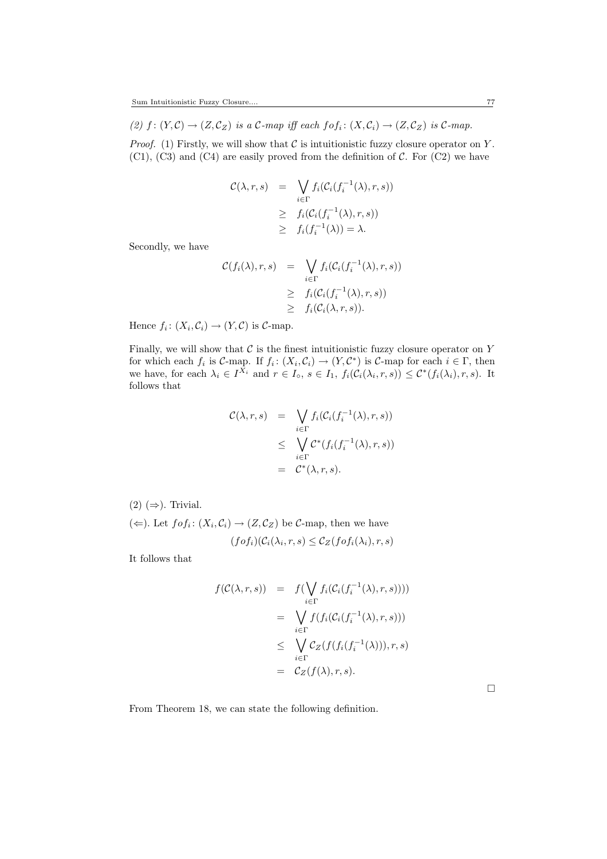(2)  $f: (Y, \mathcal{C}) \to (Z, \mathcal{C}_Z)$  is a  $\mathcal{C}\text{-}map$  iff each  $f \circ f_i: (X, \mathcal{C}_i) \to (Z, \mathcal{C}_Z)$  is  $\mathcal{C}\text{-}map$ .

*Proof.* (1) Firstly, we will show that  $\mathcal C$  is intuitionistic fuzzy closure operator on Y.  $(C1)$ ,  $(C3)$  and  $(C4)$  are easily proved from the definition of C. For  $(C2)$  we have

$$
\mathcal{C}(\lambda, r, s) = \bigvee_{i \in \Gamma} f_i(\mathcal{C}_i(f_i^{-1}(\lambda), r, s))
$$
  
\n
$$
\geq f_i(\mathcal{C}_i(f_i^{-1}(\lambda), r, s))
$$
  
\n
$$
\geq f_i(f_i^{-1}(\lambda)) = \lambda.
$$

Secondly, we have

$$
\mathcal{C}(f_i(\lambda), r, s) = \bigvee_{i \in \Gamma} f_i(\mathcal{C}_i(f_i^{-1}(\lambda), r, s))
$$
  
\n
$$
\geq f_i(\mathcal{C}_i(f_i^{-1}(\lambda), r, s))
$$
  
\n
$$
\geq f_i(\mathcal{C}_i(\lambda, r, s)).
$$

Hence  $f_i: (X_i, \mathcal{C}_i) \to (Y, \mathcal{C})$  is  $\mathcal{C}\text{-map}$ .

Finally, we will show that  $\mathcal C$  is the finest intuitionistic fuzzy closure operator on Y for which each  $f_i$  is C-map. If  $f_i: (X_i, C_i) \to (Y, C^*)$  is C-map for each  $i \in \Gamma$ , then we have, for each  $\lambda_i \in I^{X_i}$  and  $r \in I_0$ ,  $s \in I_1$ ,  $f_i(\mathcal{C}_i(\lambda_i, r, s)) \leq \mathcal{C}^*(f_i(\lambda_i), r, s)$ . It follows that

$$
\mathcal{C}(\lambda, r, s) = \bigvee_{i \in \Gamma} f_i(\mathcal{C}_i(f_i^{-1}(\lambda), r, s))
$$
  

$$
\leq \bigvee_{i \in \Gamma} \mathcal{C}^*(f_i(f_i^{-1}(\lambda), r, s))
$$
  

$$
= \mathcal{C}^*(\lambda, r, s).
$$

 $(2)$  ( $\Rightarrow$ ). Trivial.

 $(\Leftarrow)$ . Let  $f \circ f_i : (X_i, \mathcal{C}_i) \to (Z, \mathcal{C}_Z)$  be  $\mathcal{C}\text{-map}$ , then we have  $(f \circ f_i)(\mathcal{C}_i(\lambda_i,r,s) \leq \mathcal{C}_Z(f \circ f_i(\lambda_i),r,s)$ 

It follows that

$$
f(C(\lambda, r, s)) = f(\bigvee_{i \in \Gamma} f_i(C_i(f_i^{-1}(\lambda), r, s))))
$$
  
\n
$$
= \bigvee_{i \in \Gamma} f(f_i(C_i(f_i^{-1}(\lambda), r, s)))
$$
  
\n
$$
\leq \bigvee_{i \in \Gamma} C_Z(f(f_i(f_i^{-1}(\lambda))), r, s)
$$
  
\n
$$
= C_Z(f(\lambda), r, s).
$$

From Theorem 18, we can state the following definition.

 $\Box$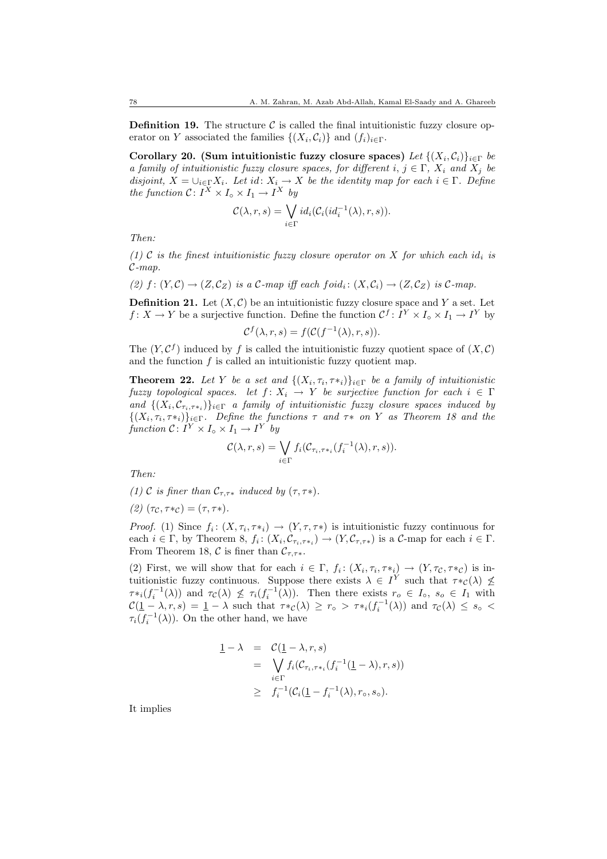**Definition 19.** The structure  $\mathcal{C}$  is called the final intuitionistic fuzzy closure operator on Y associated the families  $\{(X_i, C_i)\}\$ and  $(f_i)_{i \in \Gamma}$ .

Corollary 20. (Sum intuitionistic fuzzy closure spaces) Let  $\{(X_i, C_i)\}_{i \in \Gamma}$  be a family of intuitionistic fuzzy closure spaces, for different i,  $j \in \Gamma$ ,  $X_i$  and  $X_j$  be disjoint,  $X = \bigcup_{i \in \Gamma} X_i$ . Let id:  $X_i \to X$  be the identity map for each  $i \in \Gamma$ . Define the function  $C: I^X \times I_{\circ} \times I_1 \to I^X$  by

$$
\mathcal{C}(\lambda, r, s) = \bigvee_{i \in \Gamma} id_i(\mathcal{C}_i(id_i^{-1}(\lambda), r, s)).
$$

Then:

(1) C is the finest intuitionistic fuzzy closure operator on X for which each id<sub>i</sub> is  $\mathcal{C}\text{-}map.$ 

(2)  $f: (Y, \mathcal{C}) \to (Z, \mathcal{C}_Z)$  is a  $\mathcal{C}\text{-}map$  iff each  $foid_i: (X, \mathcal{C}_i) \to (Z, \mathcal{C}_Z)$  is  $\mathcal{C}\text{-}map$ .

**Definition 21.** Let  $(X, \mathcal{C})$  be an intuitionistic fuzzy closure space and Y a set. Let  $f: X \to Y$  be a surjective function. Define the function  $\mathcal{C}^f: I^Y \times I_{\circ} \times I_1 \to I^Y$  by

$$
\mathcal{C}^f(\lambda, r, s) = f(\mathcal{C}(f^{-1}(\lambda), r, s)).
$$

The  $(Y, \mathcal{C}^f)$  induced by f is called the intuitionistic fuzzy quotient space of  $(X, \mathcal{C})$ and the function  $f$  is called an intuitionistic fuzzy quotient map.

**Theorem 22.** Let Y be a set and  $\{(X_i, \tau_i, \tau_{*i})\}_{i \in \Gamma}$  be a family of intuitionistic fuzzy topological spaces. let  $f: X_i \to Y$  be surjective function for each  $i \in \Gamma$ and  $\{(X_i, \mathcal{C}_{\tau_i, \tau_{*i}})\}_{i \in \Gamma}$  a family of intuitionistic fuzzy closure spaces induced by  $\{(X_i, \tau_i, \tau_{*i})\}_{i \in \Gamma}$ . Define the functions  $\tau$  and  $\tau_{*}$  on Y as Theorem 18 and the function  $C: I^Y \times I_{\circ} \times I_1 \to I^Y$  by

$$
\mathcal{C}(\lambda, r, s) = \bigvee_{i \in \Gamma} f_i(\mathcal{C}_{\tau_i, \tau *_i} (f_i^{-1}(\lambda), r, s)).
$$

Then:

(1) C is finer than  $C_{\tau,\tau*}$  induced by  $(\tau,\tau*)$ .

(2)  $(\tau_{\mathcal{C}}, \tau_{\ast \mathcal{C}}) = (\tau, \tau_{\ast}).$ 

*Proof.* (1) Since  $f_i: (X, \tau_i, \tau_{i}) \to (Y, \tau, \tau_{i})$  is intuitionistic fuzzy continuous for each  $i \in \Gamma$ , by Theorem 8,  $f_i: (X_i, \mathcal{C}_{\tau_i, \tau_{*i}}) \to (Y, \mathcal{C}_{\tau, \tau_{*}})$  is a  $\mathcal{C}$ -map for each  $i \in \Gamma$ . From Theorem 18, C is finer than  $\mathcal{C}_{\tau,\tau^*}$ .

(2) First, we will show that for each  $i \in \Gamma$ ,  $f_i: (X_i, \tau_i, \tau_{i}) \to (Y, \tau_{\mathcal{C}}, \tau_{\mathcal{C}})$  is intuitionistic fuzzy continuous. Suppose there exists  $\lambda \in I^Y$  such that  $\tau *_{\mathcal{C}}(\lambda) \nleq$  $\tau_{i}(f_i^{-1}(\lambda))$  and  $\tau_{\mathcal{C}}(\lambda) \nleq \tau_i(f_i^{-1}(\lambda))$ . Then there exists  $r_o \in I_o$ ,  $s_o \in I_1$  with  $\mathcal{C}(\underline{1}-\lambda,\tau,s) = \underline{1}-\lambda$  such that  $\tau *_{\mathcal{C}}(\lambda) \geq r_{\circ} > \tau *_{i}(f_{i}^{-1}(\lambda))$  and  $\tau_{\mathcal{C}}(\lambda) \leq s_{\circ} <$  $\tau_i(f_i^{-1}(\lambda))$ . On the other hand, we have

$$
\begin{array}{rcl}\n\mathbf{1} - \lambda & = & \mathcal{C}(\mathbf{1} - \lambda, r, s) \\
& = & \bigvee_{i \in \Gamma} f_i(\mathcal{C}_{\tau_i, \tau *_i} (f_i^{-1}(\mathbf{1} - \lambda), r, s)) \\
& \geq & f_i^{-1}(\mathcal{C}_i(\mathbf{1} - f_i^{-1}(\lambda), r_\circ, s_\circ).\n\end{array}
$$

It implies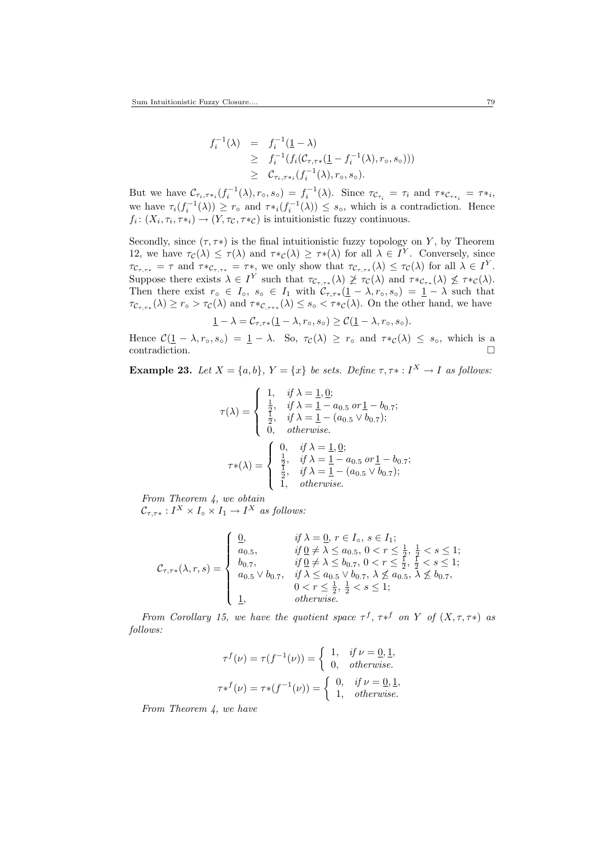$$
f_i^{-1}(\lambda) = f_i^{-1}(\underline{1} - \lambda)
$$
  
\n
$$
\geq f_i^{-1}(f_i(\mathcal{C}_{\tau, \tau^*}(\underline{1} - f_i^{-1}(\lambda), r_o, s_o)))
$$
  
\n
$$
\geq \mathcal{C}_{\tau_i, \tau^*i}(f_i^{-1}(\lambda), r_o, s_o).
$$

But we have  $\mathcal{C}_{\tau_i, \tau_{*i}}(f_i^{-1}(\lambda), r_\circ, s_\circ) = f_i^{-1}(\lambda)$ . Since  $\tau_{\mathcal{C}_{\tau_i}} = \tau_i$  and  $\tau_{\mathcal{C}_{\tau_{*i}}} = \tau_{*i}$ , we have  $\tau_i(f_i^{-1}(\lambda)) \geq r_\circ$  and  $\tau *_i(f_i^{-1}(\lambda)) \leq s_\circ$ , which is a contradiction. Hence  $f_i: (X_i, \tau_i, \tau *_i) \to (Y, \tau_{\mathcal{C}}, \tau *_i{\mathcal{C}})$  is intuitionistic fuzzy continuous.

Secondly, since  $(\tau, \tau^*)$  is the final intuitionistic fuzzy topology on Y, by Theorem 12, we have  $\tau_{\mathcal{C}}(\lambda) \leq \tau(\lambda)$  and  $\tau *_{\mathcal{C}}(\lambda) \geq \tau * (\lambda)$  for all  $\lambda \in I^Y$ . Conversely, since  $\tau_{\mathcal{C}_{\tau,\tau*}} = \tau$  and  $\tau *_{\mathcal{C}_{\tau,\tau*}} = \tau *$ , we only show that  $\tau_{\mathcal{C}_{\tau,\tau*}}(\lambda) \leq \tau_{\mathcal{C}}(\lambda)$  for all  $\lambda \in I^Y$ . Suppose there exists  $\lambda \in I^Y$  such that  $\tau_{\mathcal{C}_{\tau,\tau^*}}(\lambda) \not\geq \tau_{\mathcal{C}}(\lambda)$  and  $\tau_{\mathcal{C}_{\tau^*}}(\lambda) \not\leq \tau_{\mathcal{C}}(\lambda)$ . Then there exist  $r \circ \in I_0, s \circ \in I_1$  with  $\mathcal{C}_{\tau,\tau}([1-\lambda,r_0,s_0) = 1-\lambda$  such that  $\tau_{\mathcal{C}_{\tau,\tau*}}(\lambda) \geq r_{\circ} > \tau_{\mathcal{C}}(\lambda)$  and  $\tau_*\mathcal{C}_{\tau,\tau*}(\lambda) \leq s_{\circ} < \tau_*\mathcal{C}(\lambda)$ . On the other hand, we have

$$
\underline{1} - \lambda = \mathcal{C}_{\tau, \tau*}(\underline{1} - \lambda, r_\circ, s_\circ) \ge \mathcal{C}(\underline{1} - \lambda, r_\circ, s_\circ).
$$

Hence  $C(\underline{1} - \lambda, r_0, s_0) = \underline{1} - \lambda$ . So,  $\tau_c(\lambda) \geq r_0$  and  $\tau *_{\mathcal{C}}(\lambda) \leq s_0$ , which is a contradiction.  $\hfill \square$ 

**Example 23.** Let  $X = \{a, b\}$ ,  $Y = \{x\}$  be sets. Define  $\tau, \tau^*: I^X \to I$  as follows:

$$
\tau(\lambda) = \begin{cases}\n1, & \text{if } \lambda = \underline{1}, \underline{0}; \\
\frac{1}{2}, & \text{if } \lambda = \underline{1} - a_{0.5} \text{ or } \underline{1} - b_{0.7}; \\
\frac{1}{2}, & \text{if } \lambda = \underline{1} - (a_{0.5} \vee b_{0.7}); \\
0, & \text{otherwise.} \n\end{cases}
$$
\n
$$
\tau*(\lambda) = \begin{cases}\n0, & \text{if } \lambda = \underline{1}, \underline{0}; \\
\frac{1}{2}, & \text{if } \lambda = \underline{1} - a_{0.5} \text{ or } \underline{1} - b_{0.7}; \\
\frac{1}{2}, & \text{if } \lambda = \underline{1} - (a_{0.5} \vee b_{0.7}); \\
1, & \text{otherwise.} \n\end{cases}
$$

From Theorem 4, we obtain  $\mathcal{C}_{\tau,\tau*}: I^X \times I_{\circ} \times I_1 \to I^X$  as follows:

$$
\mathcal{C}_{\tau,\tau*}(\lambda,r,s) = \begin{cases}\n\underline{0}, & \text{if } \lambda = \underline{0}, r \in I_{\circ}, s \in I_{1}; \\
a_{0.5}, & \text{if } \underline{0} \neq \lambda \leq a_{0.5}, 0 < r \leq \frac{1}{2}, \frac{1}{2} < s \leq 1; \\
b_{0.7}, & \text{if } \underline{0} \neq \lambda \leq b_{0.7}, 0 < r \leq \frac{1}{2}, \frac{1}{2} < s \leq 1; \\
a_{0.5} \vee b_{0.7}, & \text{if } \lambda \leq a_{0.5} \vee b_{0.7}, \lambda \nleq a_{0.5}, \lambda \nleq b_{0.7}, \\
0 < r \leq \frac{1}{2}, \frac{1}{2} < s \leq 1; \\
\underline{1}, & \text{otherwise}.\n\end{cases}
$$

From Corollary 15, we have the quotient space  $\tau^f$ ,  $\tau^{*f}$  on Y of  $(X, \tau, \tau^*)$  as follows:

$$
\tau^f(\nu) = \tau(f^{-1}(\nu)) = \begin{cases} 1, & \text{if } \nu = \underline{0}, \underline{1}, \\ 0, & \text{otherwise.} \end{cases}
$$

$$
\tau^{f}(\nu) = \tau^{f^{-1}(\nu)} = \begin{cases} 0, & \text{if } \nu = \underline{0}, \underline{1}, \\ 1, & \text{otherwise.} \end{cases}
$$

From Theorem 4, we have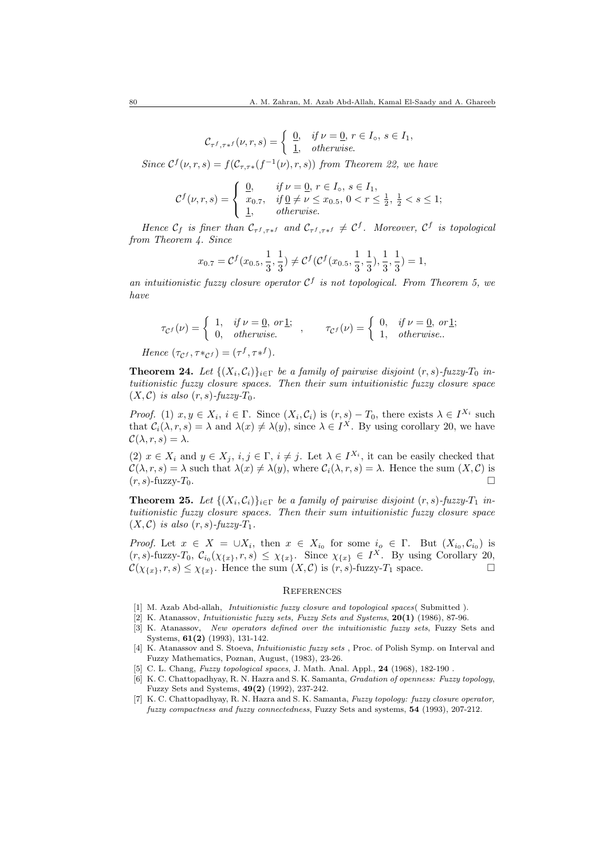$$
\mathcal{C}_{\tau^f, \tau^{*f}}(\nu, r, s) = \begin{cases} \frac{0}{1}, & \text{if } \nu = \underline{0}, r \in I_{\circ}, s \in I_1, \\ \frac{1}{1}, & \text{otherwise.} \end{cases}
$$

Since  $C^f(\nu, r, s) = f(C_{\tau, \tau *} (f^{-1}(\nu), r, s))$  from Theorem 22, we have

$$
\mathcal{C}^{f}(\nu,r,s) = \begin{cases} 0, & \text{if } \nu = \underline{0}, r \in I_{\circ}, s \in I_{1}, \\ x_{0.7}, & \text{if } \underline{0} \neq \nu \leq x_{0.5}, 0 < r \leq \frac{1}{2}, \frac{1}{2} < s \leq 1; \\ \underline{1}, & \text{otherwise.} \end{cases}
$$

Hence  $C_f$  is finer than  $C_{\tau^f, \tau^{*f}}$  and  $C_{\tau^f, \tau^{*f}} \neq C^f$ . Moreover,  $C^f$  is topological from Theorem 4. Since

$$
x_{0.7} = \mathcal{C}^f(x_{0.5}, \frac{1}{3}, \frac{1}{3}) \neq \mathcal{C}^f(\mathcal{C}^f(x_{0.5}, \frac{1}{3}, \frac{1}{3}), \frac{1}{3}, \frac{1}{3}) = 1,
$$

an intuitionistic fuzzy closure operator  $\mathcal{C}^f$  is not topological. From Theorem 5, we have

$$
\tau_{\mathcal{C}^f}(\nu) = \begin{cases} 1, & \text{if } \nu = \underline{0}, \text{ or } \underline{1}; \\ 0, & \text{otherwise.} \end{cases}, \qquad \tau_{\mathcal{C}^f}(\nu) = \begin{cases} 0, & \text{if } \nu = \underline{0}, \text{ or } \underline{1}; \\ 1, & \text{otherwise.} \end{cases}
$$
  
Hence  $(\tau_{\mathcal{C}^f}, \tau *_{\mathcal{C}^f}) = (\tau^f, \tau *^f)$ .

**Theorem 24.** Let  $\{(X_i, C_i)\}_{i \in \Gamma}$  be a family of pairwise disjoint  $(r, s)$ -fuzzy- $T_0$  intuitionistic fuzzy closure spaces. Then their sum intuitionistic fuzzy closure space  $(X, \mathcal{C})$  is also  $(r, s)$ -fuzzy- $T_0$ .

*Proof.* (1)  $x, y \in X_i$ ,  $i \in \Gamma$ . Since  $(X_i, \mathcal{C}_i)$  is  $(r, s) - T_0$ , there exists  $\lambda \in I^{X_i}$  such that  $C_i(\lambda, r, s) = \lambda$  and  $\lambda(x) \neq \lambda(y)$ , since  $\lambda \in I^X$ . By using corollary 20, we have  $\mathcal{C}(\lambda, r, s) = \lambda.$ 

(2)  $x \in X_i$  and  $y \in X_j$ ,  $i, j \in \Gamma$ ,  $i \neq j$ . Let  $\lambda \in I^{X_i}$ , it can be easily checked that  $\mathcal{C}(\lambda, r, s) = \lambda$  such that  $\lambda(x) \neq \lambda(y)$ , where  $\mathcal{C}_i(\lambda, r, s) = \lambda$ . Hence the sum  $(X, \mathcal{C})$  is  $(r, s)$ -fuzzy- $T_0$ .

**Theorem 25.** Let  $\{(X_i, C_i)\}_{i \in \Gamma}$  be a family of pairwise disjoint  $(r, s)$ -fuzzy- $T_1$  intuitionistic fuzzy closure spaces. Then their sum intuitionistic fuzzy closure space  $(X, \mathcal{C})$  is also  $(r, s)$ -fuzzy- $T_1$ .

*Proof.* Let  $x \in X = \bigcup X_i$ , then  $x \in X_{i_0}$  for some  $i_0 \in \Gamma$ . But  $(X_{i_0}, \mathcal{C}_{i_0})$  is  $(r, s)$ -fuzzy- $T_0$ ,  $\mathcal{C}_{i_0}(\chi_{\{x\}}, r, s) \leq \chi_{\{x\}}$ . Since  $\chi_{\{x\}} \in I^X$ . By using Corollary 20,  $\mathcal{C}(\chi_{\{x\}}, r, s) \leq \chi_{\{x\}}$ . Hence the sum  $(X, \mathcal{C})$  is  $(r, s)$ -fuzzy- $T_1$  space.

#### **REFERENCES**

- [1] M. Azab Abd-allah, *Intuitionistic fuzzy closure and topological spaces*(Submitted).
- [2] K. Atanassov, Intuitionistic fuzzy sets, Fuzzy Sets and Systems, 20(1) (1986), 87-96.
- [3] K. Atanassov, New operators defined over the intuitionistic fuzzy sets, Fuzzy Sets and Systems, 61(2) (1993), 131-142.
- [4] K. Atanassov and S. Stoeva, *Intuitionistic fuzzy sets*, Proc. of Polish Symp. on Interval and Fuzzy Mathematics, Poznan, August, (1983), 23-26.
- [5] C. L. Chang, Fuzzy topological spaces, J. Math. Anal. Appl., 24 (1968), 182-190.
- [6] K. C. Chattopadhyay, R. N. Hazra and S. K. Samanta, Gradation of openness: Fuzzy topology, Fuzzy Sets and Systems, 49(2) (1992), 237-242.
- [7] K. C. Chattopadhyay, R. N. Hazra and S. K. Samanta, Fuzzy topology: fuzzy closure operator, fuzzy compactness and fuzzy connectedness, Fuzzy Sets and systems, 54 (1993), 207-212.